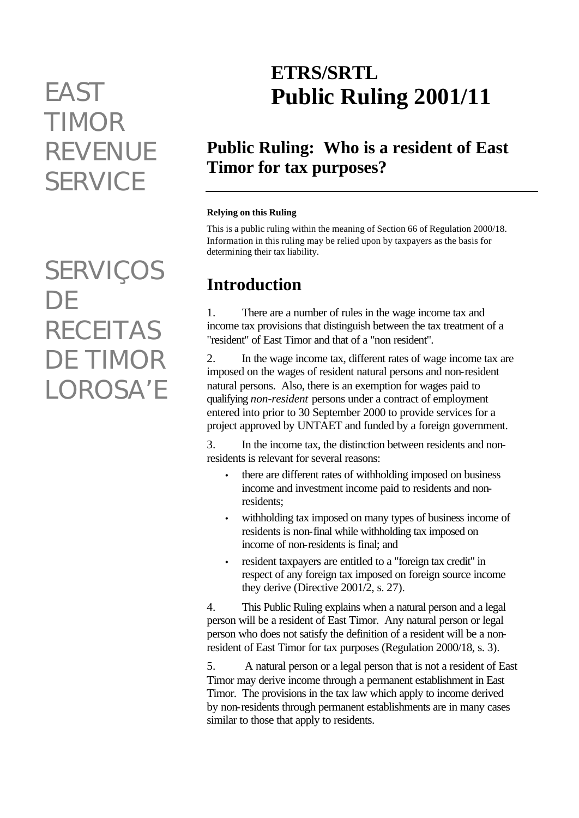# *TIMOR REVENUE SERVICE*

*SERVIÇOS DE RECEITAS DE TIMOR LOROSA'E*

## **ETRS/SRTL** *EAST* **Public Ruling 2001/11**

### **Public Ruling: Who is a resident of East Timor for tax purposes?**

#### **Relying on this Ruling**

This is a public ruling within the meaning of Section 66 of Regulation 2000/18. Information in this ruling may be relied upon by taxpayers as the basis for determining their tax liability.

### **Introduction**

1. There are a number of rules in the wage income tax and income tax provisions that distinguish between the tax treatment of a "resident" of East Timor and that of a "non resident".

2. In the wage income tax, different rates of wage income tax are imposed on the wages of resident natural persons and non-resident natural persons. Also, there is an exemption for wages paid to qualifying *non-resident* persons under a contract of employment entered into prior to 30 September 2000 to provide services for a project approved by UNTAET and funded by a foreign government.

3. In the income tax, the distinction between residents and nonresidents is relevant for several reasons:

- there are different rates of withholding imposed on business income and investment income paid to residents and nonresidents;
- withholding tax imposed on many types of business income of residents is non-final while withholding tax imposed on income of non-residents is final; and
- resident taxpayers are entitled to a "foreign tax credit" in respect of any foreign tax imposed on foreign source income they derive (Directive 2001/2, s. 27).

4. This Public Ruling explains when a natural person and a legal person will be a resident of East Timor. Any natural person or legal person who does not satisfy the definition of a resident will be a nonresident of East Timor for tax purposes (Regulation 2000/18, s. 3).

5. A natural person or a legal person that is not a resident of East Timor may derive income through a permanent establishment in East Timor. The provisions in the tax law which apply to income derived by non-residents through permanent establishments are in many cases similar to those that apply to residents.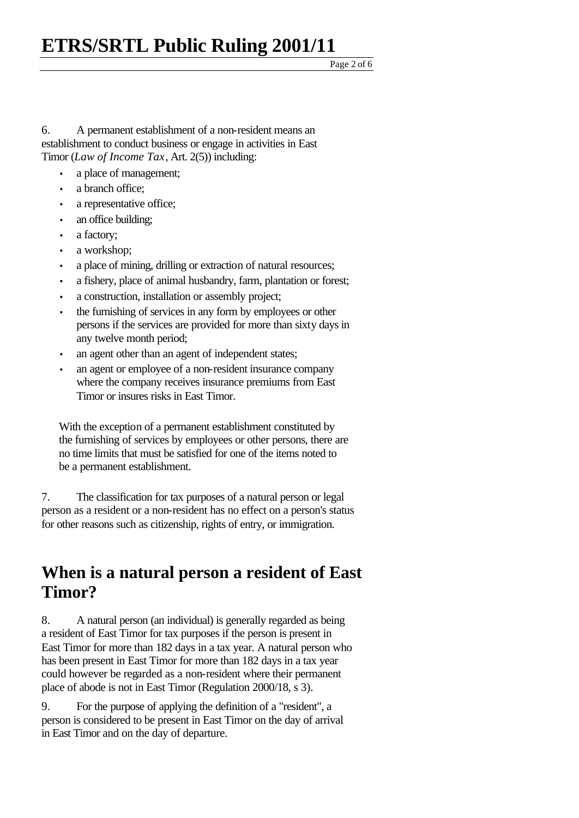## **ETRS/SRTL Public Ruling 2001/11**

6. A permanent establishment of a non-resident means an establishment to conduct business or engage in activities in East Timor (*Law of Income Tax*, Art. 2(5)) including:

- a place of management;
- a branch office;
- a representative office;
- an office building;
- a factory;
- a workshop;
- a place of mining, drilling or extraction of natural resources;
- a fishery, place of animal husbandry, farm, plantation or forest;
- a construction, installation or assembly project;
- the furnishing of services in any form by employees or other persons if the services are provided for more than sixty days in any twelve month period;
- an agent other than an agent of independent states;
- an agent or employee of a non-resident insurance company where the company receives insurance premiums from East Timor or insures risks in East Timor.

With the exception of a permanent establishment constituted by the furnishing of services by employees or other persons, there are no time limits that must be satisfied for one of the items noted to be a permanent establishment.

7. The classification for tax purposes of a natural person or legal person as a resident or a non-resident has no effect on a person's status for other reasons such as citizenship, rights of entry, or immigration.

#### **When is a natural person a resident of East Timor?**

8. A natural person (an individual) is generally regarded as being a resident of East Timor for tax purposes if the person is present in East Timor for more than 182 days in a tax year. A natural person who has been present in East Timor for more than 182 days in a tax year could however be regarded as a non-resident where their permanent place of abode is not in East Timor (Regulation 2000/18, s 3).

9. For the purpose of applying the definition of a "resident", a person is considered to be present in East Timor on the day of arrival in East Timor and on the day of departure.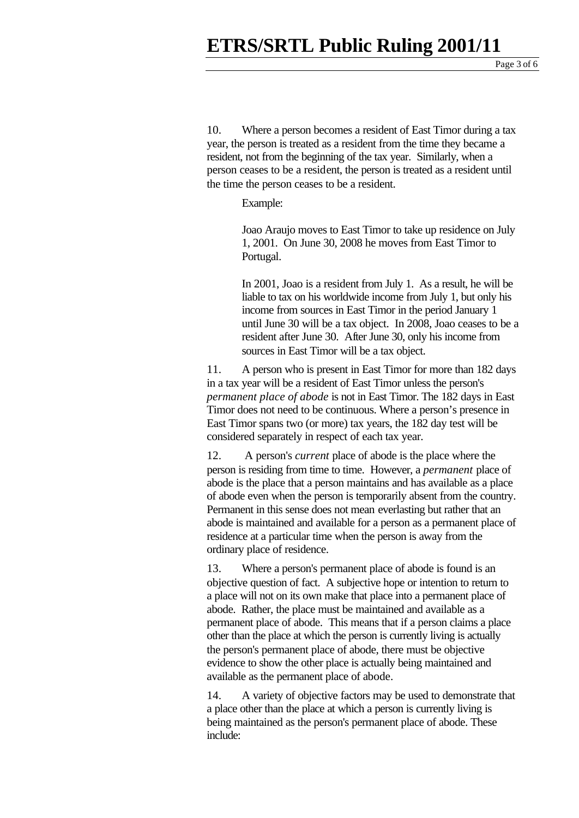Page 3 of 6

10. Where a person becomes a resident of East Timor during a tax year, the person is treated as a resident from the time they became a resident, not from the beginning of the tax year. Similarly, when a person ceases to be a resident, the person is treated as a resident until the time the person ceases to be a resident.

Example:

Joao Araujo moves to East Timor to take up residence on July 1, 2001. On June 30, 2008 he moves from East Timor to Portugal.

In 2001, Joao is a resident from July 1. As a result, he will be liable to tax on his worldwide income from July 1, but only his income from sources in East Timor in the period January 1 until June 30 will be a tax object. In 2008, Joao ceases to be a resident after June 30. After June 30, only his income from sources in East Timor will be a tax object.

11. A person who is present in East Timor for more than 182 days in a tax year will be a resident of East Timor unless the person's *permanent place of abode* is not in East Timor. The 182 days in East Timor does not need to be continuous. Where a person's presence in East Timor spans two (or more) tax years, the 182 day test will be considered separately in respect of each tax year.

12. A person's *current* place of abode is the place where the person is residing from time to time. However, a *permanent* place of abode is the place that a person maintains and has available as a place of abode even when the person is temporarily absent from the country. Permanent in this sense does not mean everlasting but rather that an abode is maintained and available for a person as a permanent place of residence at a particular time when the person is away from the ordinary place of residence.

13. Where a person's permanent place of abode is found is an objective question of fact. A subjective hope or intention to return to a place will not on its own make that place into a permanent place of abode. Rather, the place must be maintained and available as a permanent place of abode. This means that if a person claims a place other than the place at which the person is currently living is actually the person's permanent place of abode, there must be objective evidence to show the other place is actually being maintained and available as the permanent place of abode.

14. A variety of objective factors may be used to demonstrate that a place other than the place at which a person is currently living is being maintained as the person's permanent place of abode. These include: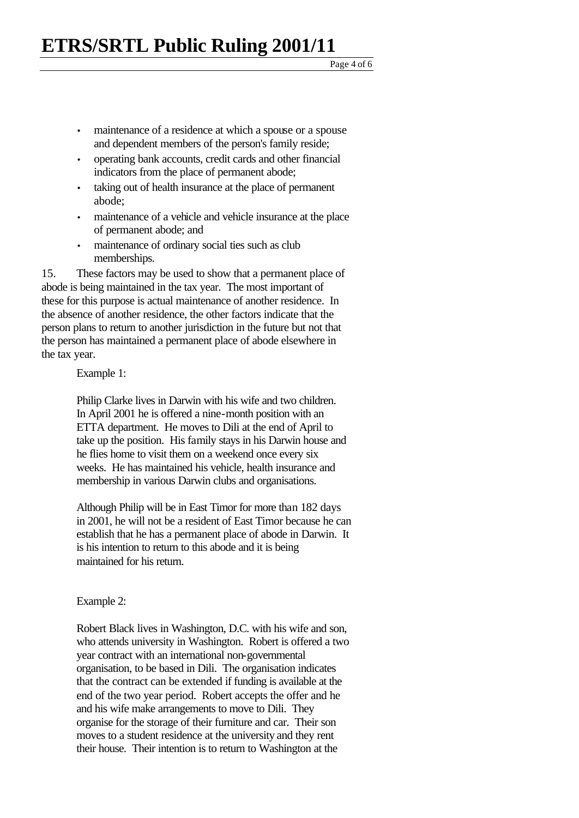- maintenance of a residence at which a spouse or a spouse and dependent members of the person's family reside;
- operating bank accounts, credit cards and other financial indicators from the place of permanent abode;
- taking out of health insurance at the place of permanent abode;
- maintenance of a vehicle and vehicle insurance at the place of permanent abode; and
- maintenance of ordinary social ties such as club memberships.

15. These factors may be used to show that a permanent place of abode is being maintained in the tax year. The most important of these for this purpose is actual maintenance of another residence. In the absence of another residence, the other factors indicate that the person plans to return to another jurisdiction in the future but not that the person has maintained a permanent place of abode elsewhere in the tax year.

Example 1:

Philip Clarke lives in Darwin with his wife and two children. In April 2001 he is offered a nine-month position with an ETTA department. He moves to Dili at the end of April to take up the position. His family stays in his Darwin house and he flies home to visit them on a weekend once every six weeks. He has maintained his vehicle, health insurance and membership in various Darwin clubs and organisations.

Although Philip will be in East Timor for more than 182 days in 2001, he will not be a resident of East Timor because he can establish that he has a permanent place of abode in Darwin. It is his intention to return to this abode and it is being maintained for his return.

#### Example 2:

Robert Black lives in Washington, D.C. with his wife and son, who attends university in Washington. Robert is offered a two year contract with an international non-governmental organisation, to be based in Dili. The organisation indicates that the contract can be extended if funding is available at the end of the two year period. Robert accepts the offer and he and his wife make arrangements to move to Dili. They organise for the storage of their furniture and car. Their son moves to a student residence at the university and they rent their house. Their intention is to return to Washington at the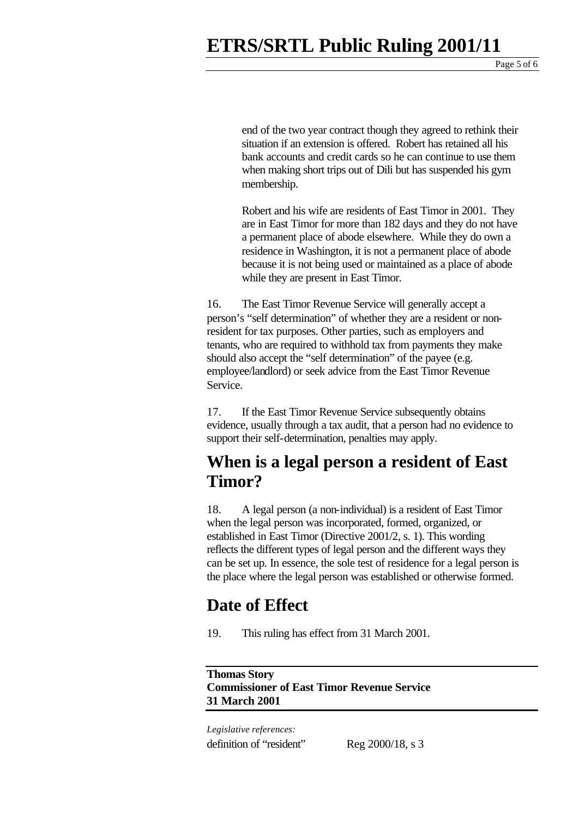end of the two year contract though they agreed to rethink their situation if an extension is offered. Robert has retained all his bank accounts and credit cards so he can continue to use them when making short trips out of Dili but has suspended his gym membership.

Robert and his wife are residents of East Timor in 2001. They are in East Timor for more than 182 days and they do not have a permanent place of abode elsewhere. While they do own a residence in Washington, it is not a permanent place of abode because it is not being used or maintained as a place of abode while they are present in East Timor.

16. The East Timor Revenue Service will generally accept a person's "self determination" of whether they are a resident or nonresident for tax purposes. Other parties, such as employers and tenants, who are required to withhold tax from payments they make should also accept the "self determination" of the payee (e.g. employee/landlord) or seek advice from the East Timor Revenue Service.

17. If the East Timor Revenue Service subsequently obtains evidence, usually through a tax audit, that a person had no evidence to support their self-determination, penalties may apply.

#### **When is a legal person a resident of East Timor?**

18. A legal person (a non-individual) is a resident of East Timor when the legal person was incorporated, formed, organized, or established in East Timor (Directive 2001/2, s. 1). This wording reflects the different types of legal person and the different ways they can be set up. In essence, the sole test of residence for a legal person is the place where the legal person was established or otherwise formed.

#### **Date of Effect**

19. This ruling has effect from 31 March 2001.

**Thomas Story Commissioner of East Timor Revenue Service 31 March 2001**

*Legislative references:* definition of "resident" Reg 2000/18, s 3